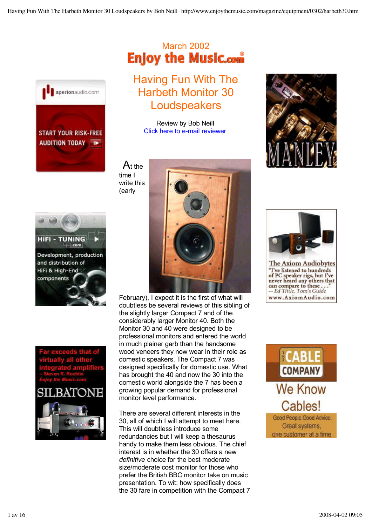

# March 2002<br>**Enjoy the Music.com**

Having Fun With The Harbeth Monitor 30 Loudspeakers

> Review by Bob Neill Click here to e-mail reviewer

 At the time I write this (early





February), I expect it is the first of what will doubtless be several reviews of this sibling of the slightly larger Compact 7 and of the considerably larger Monitor 40. Both the Monitor 30 and 40 were designed to be professional monitors and entered the world in much plainer garb than the handsome wood veneers they now wear in their role as domestic speakers. The Compact 7 was designed specifically for domestic use. What has brought the 40 and now the 30 into the domestic world alongside the 7 has been a growing popular demand for professional monitor level performance.

There are several different interests in the 30, all of which I will attempt to meet here. This will doubtless introduce some redundancies but I will keep a thesaurus handy to make them less obvious. The chief interest is in whether the 30 offers a new *definitive* choice for the best moderate size/moderate cost monitor for those who prefer the British BBC monitor take on music presentation. To wit: how specifically does the 30 fare in competition with the Compact 7





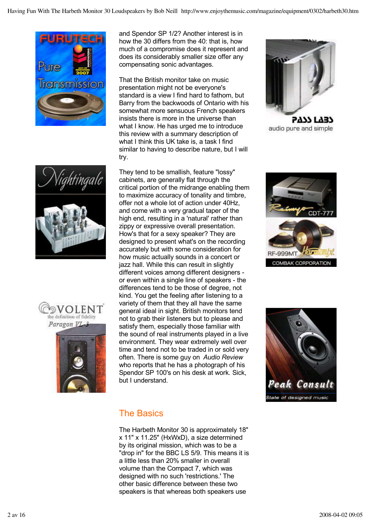







and Spendor SP 1/2? Another interest is in how the 30 differs from the 40: that is, how much of a compromise does it represent and does its considerably smaller size offer any compensating sonic advantages.

That the British monitor take on music presentation might not be everyone's standard is a view I find hard to fathom, but Barry from the backwoods of Ontario with his somewhat more sensuous French speakers insists there is more in the universe than what I know. He has urged me to introduce this review with a summary description of what I think this UK take is, a task I find similar to having to describe nature, but I will try.

They tend to be smallish, feature "lossy" cabinets, are generally flat through the critical portion of the midrange enabling them to maximize accuracy of tonality and timbre, offer not a whole lot of action under 40Hz, and come with a very gradual taper of the high end, resulting in a 'natural' rather than zippy or expressive overall presentation. How's that for a sexy speaker? They are designed to present what's on the recording accurately but with some consideration for how music actually sounds in a concert or jazz hall. While this can result in slightly different voices among different designers or even within a single line of speakers - the differences tend to be those of degree, not kind. You get the feeling after listening to a variety of them that they all have the same general ideal in sight. British monitors tend not to grab their listeners but to please and satisfy them, especially those familiar with the sound of real instruments played in a live environment. They wear extremely well over time and tend not to be traded in or sold very often. There is some guy on *Audio Review* who reports that he has a photograph of his Spendor SP 100's on his desk at work. Sick, but I understand.



**5777 F737** audio pure and simple





## The Basics

The Harbeth Monitor 30 is approximately 18" x 11" x 11.25" (HxWxD), a size determined by its original mission, which was to be a "drop in" for the BBC LS 5/9. This means it is a little less than 20% smaller in overall volume than the Compact 7, which was designed with no such 'restrictions.' The other basic difference between these two speakers is that whereas both speakers use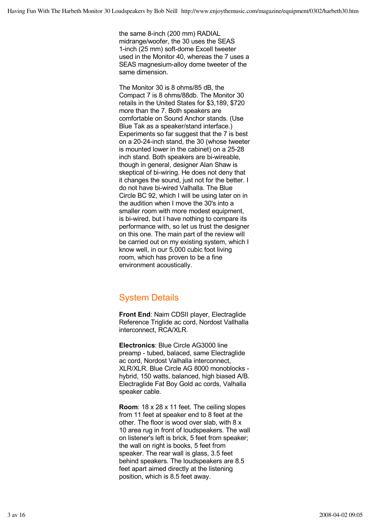the same 8-inch (200 mm) RADIAL midrange/woofer, the 30 uses the SEAS 1-inch (25 mm) soft-dome Excell tweeter used in the Monitor 40, whereas the 7 uses a SEAS magnesium-alloy dome tweeter of the same dimension.

The Monitor 30 is 8 ohms/85 dB, the Compact 7 is 8 ohms/88db. The Monitor 30 retails in the United States for \$3,189, \$720 more than the 7. Both speakers are comfortable on Sound Anchor stands. (Use Blue Tak as a speaker/stand interface.) Experiments so far suggest that the 7 is best on a 20-24-inch stand, the 30 (whose tweeter is mounted lower in the cabinet) on a 25-28 inch stand. Both speakers are bi-wireable, though in general, designer Alan Shaw is skeptical of bi-wiring. He does not deny that it changes the sound, just not for the better. I do not have bi-wired Valhalla. The Blue Circle BC 92, which I will be using later on in the audition when I move the 30's into a smaller room with more modest equipment, is bi-wired, but I have nothing to compare its performance with, so let us trust the designer on this one. The main part of the review will be carried out on my existing system, which I know well, in our 5,000 cubic foot living room, which has proven to be a fine environment acoustically.

## System Details

**Front End**: Naim CDSII player, Electraglide Reference Triglide ac cord, Nordost Vallhalla interconnect, RCA/XLR.

**Electronics**: Blue Circle AG3000 line preamp - tubed, balaced, same Electraglide ac cord, Nordost Valhalla interconnect, XLR/XLR. Blue Circle AG 8000 monoblocks hybrid, 150 watts, balanced, high biased A/B. Electraglide Fat Boy Gold ac cords, Valhalla speaker cable.

**Room**: 18 x 28 x 11 feet. The ceiling slopes from 11 feet at speaker end to 8 feet at the other. The floor is wood over slab, with 8 x 10 area rug in front of loudspeakers. The wall on listener's left is brick, 5 feet from speaker; the wall on right is books, 5 feet from speaker. The rear wall is glass, 3.5 feet behind speakers. The loudspeakers are 8.5 feet apart aimed directly at the listening position, which is 8.5 feet away.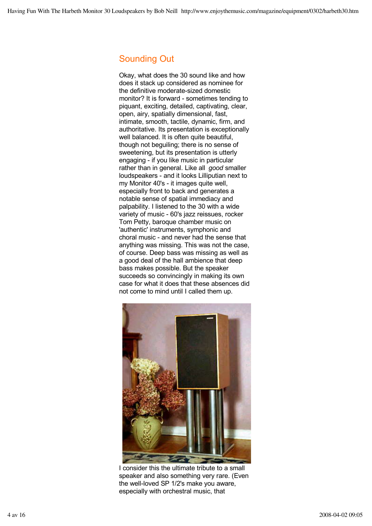## Sounding Out

Okay, what does the 30 sound like and how does it stack up considered as nominee for the definitive moderate-sized domestic monitor? It is forward - sometimes tending to piquant, exciting, detailed, captivating, clear, open, airy, spatially dimensional, fast, intimate, smooth, tactile, dynamic, firm, and authoritative. Its presentation is exceptionally well balanced. It is often quite beautiful, though not beguiling; there is no sense of sweetening, but its presentation is utterly engaging - if you like music in particular rather than in general. Like all *good* smaller loudspeakers - and it looks Lilliputian next to my Monitor 40's - it images quite well, especially front to back and generates a notable sense of spatial immediacy and palpability. I listened to the 30 with a wide variety of music - 60's jazz reissues, rocker Tom Petty, baroque chamber music on 'authentic' instruments, symphonic and choral music - and never had the sense that anything was missing. This was not the case, of course. Deep bass was missing as well as a good deal of the hall ambience that deep bass makes possible. But the speaker succeeds so convincingly in making its own case for what it does that these absences did not come to mind until I called them up.



I consider this the ultimate tribute to a small speaker and also something very rare. (Even the well-loved SP 1/2's make you aware, especially with orchestral music, that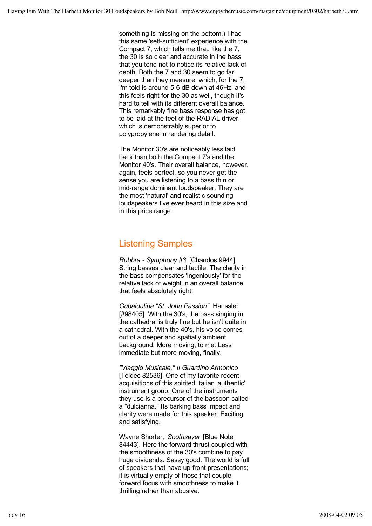something is missing on the bottom.) I had this same 'self-sufficient' experience with the Compact 7, which tells me that, like the 7, the 30 is so clear and accurate in the bass that you tend not to notice its relative lack of depth. Both the 7 and 30 seem to go far deeper than they measure, which, for the 7, I'm told is around 5-6 dB down at 46Hz, and this feels right for the 30 as well, though it's hard to tell with its different overall balance. This remarkably fine bass response has got to be laid at the feet of the RADIAL driver, which is demonstrably superior to polypropylene in rendering detail.

The Monitor 30's are noticeably less laid back than both the Compact 7's and the Monitor 40's. Their overall balance, however, again, feels perfect, so you never get the sense you are listening to a bass thin or mid-range dominant loudspeaker. They are the most 'natural' and realistic sounding loudspeakers I've ever heard in this size and in this price range.

#### Listening Samples

*Rubbra - Symphony #3* [Chandos 9944] String basses clear and tactile. The clarity in the bass compensates 'ingeniously' for the relative lack of weight in an overall balance that feels absolutely right.

*Gubaidulina "St. John Passion"* Hanssler [#98405]. With the 30's, the bass singing in the cathedral is truly fine but he isn't quite in a cathedral. With the 40's, his voice comes out of a deeper and spatially ambient background. More moving, to me. Less immediate but more moving, finally.

*"Viaggio Musicale," Il Guardino Armonico* [Teldec 82536]. One of my favorite recent acquisitions of this spirited Italian 'authentic' instrument group. One of the instruments they use is a precursor of the bassoon called a "dulcianna." Its barking bass impact and clarity were made for this speaker. Exciting and satisfying.

Wayne Shorter, *Soothsayer* [Blue Note 84443]. Here the forward thrust coupled with the smoothness of the 30's combine to pay huge dividends. Sassy good. The world is full of speakers that have up-front presentations; it is virtually empty of those that couple forward focus with smoothness to make it thrilling rather than abusive.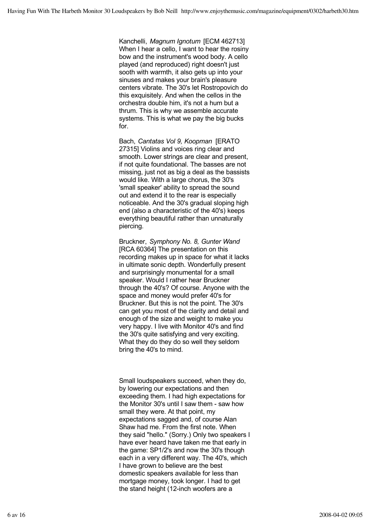Kanchelli, *Magnum Ignotum* [ECM 462713] When I hear a cello, I want to hear the rosiny bow and the instrument's wood body. A cello played (and reproduced) right doesn't just sooth with warmth, it also gets up into your sinuses and makes your brain's pleasure centers vibrate. The 30's let Rostropovich do this exquisitely. And when the cellos in the orchestra double him, it's not a hum but a thrum. This is why we assemble accurate systems. This is what we pay the big bucks for.

Bach, *Cantatas Vol 9, Koopman* [ERATO 27315] Violins and voices ring clear and smooth. Lower strings are clear and present, if not quite foundational. The basses are not missing, just not as big a deal as the bassists would like. With a large chorus, the 30's 'small speaker' ability to spread the sound out and extend it to the rear is especially noticeable. And the 30's gradual sloping high end (also a characteristic of the 40's) keeps everything beautiful rather than unnaturally piercing.

Bruckner, *Symphony No. 8, Gunter Wand* [RCA 60364] The presentation on this recording makes up in space for what it lacks in ultimate sonic depth. Wonderfully present and surprisingly monumental for a small speaker. Would I rather hear Bruckner through the 40's? Of course. Anyone with the space and money would prefer 40's for Bruckner. But this is not the point. The 30's can get you most of the clarity and detail and enough of the size and weight to make you very happy. I live with Monitor 40's and find the 30's quite satisfying and very exciting. What they do they do so well they seldom bring the 40's to mind.

Small loudspeakers succeed, when they do, by lowering our expectations and then exceeding them. I had high expectations for the Monitor 30's until I saw them - saw how small they were. At that point, my expectations sagged and, of course Alan Shaw had me. From the first note. When they said "hello." (Sorry.) Only two speakers I have ever heard have taken me that early in the game: SP1/2's and now the 30's though each in a very different way. The 40's, which I have grown to believe are the best domestic speakers available for less than mortgage money, took longer. I had to get the stand height (12-inch woofers are a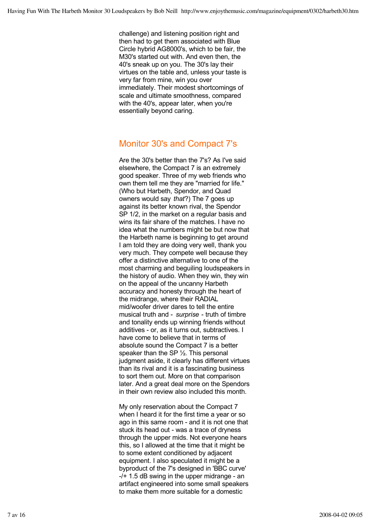challenge) and listening position right and then had to get them associated with Blue Circle hybrid AG8000's, which to be fair, the M30's started out with. And even then, the 40's sneak up on you. The 30's lay their virtues on the table and, unless your taste is very far from mine, win you over immediately. Their modest shortcomings of scale and ultimate smoothness, compared with the 40's, appear later, when you're essentially beyond caring.

### Monitor 30's and Compact 7's

Are the 30's better than the 7's? As I've said elsewhere, the Compact 7 is an extremely good speaker. Three of my web friends who own them tell me they are "married for life." (Who but Harbeth, Spendor, and Quad owners would say *that*?) The 7 goes up against its better known rival, the Spendor SP 1/2, in the market on a regular basis and wins its fair share of the matches. I have no idea what the numbers might be but now that the Harbeth name is beginning to get around I am told they are doing very well, thank you very much. They compete well because they offer a distinctive alternative to one of the most charming and beguiling loudspeakers in the history of audio. When they win, they win on the appeal of the uncanny Harbeth accuracy and honesty through the heart of the midrange, where their RADIAL mid/woofer driver dares to tell the entire musical truth and - *surprise* - truth of timbre and tonality ends up winning friends without additives - or, as it turns out, subtractives. I have come to believe that in terms of absolute sound the Compact 7 is a better speaker than the SP 1/2. This personal judgment aside, it clearly has different virtues than its rival and it is a fascinating business to sort them out. More on that comparison later. And a great deal more on the Spendors in their own review also included this month.

My only reservation about the Compact 7 when I heard it for the first time a year or so ago in this same room - and it is not one that stuck its head out - was a trace of dryness through the upper mids. Not everyone hears this, so I allowed at the time that it might be to some extent conditioned by adjacent equipment. I also speculated it might be a byproduct of the 7's designed in 'BBC curve'  $-$ / $+$  1.5 dB swing in the upper midrange  $-$  an artifact engineered into some small speakers to make them more suitable for a domestic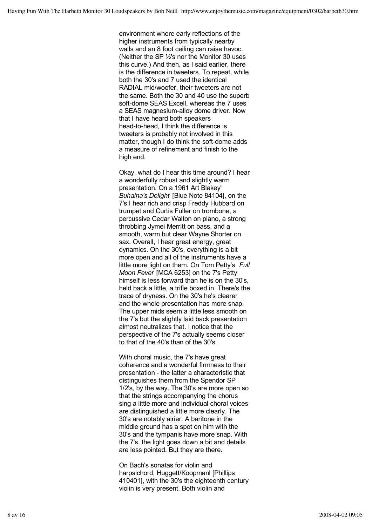environment where early reflections of the higher instruments from typically nearby walls and an 8 foot ceiling can raise havoc. (Neither the SP ½'s nor the Monitor 30 uses this curve.) And then, as I said earlier, there is the difference in tweeters. To repeat, while both the 30's and 7 used the identical RADIAL mid/woofer, their tweeters are not the same. Both the 30 and 40 use the superb soft-dome SEAS Excell, whereas the 7 uses a SEAS magnesium-alloy dome driver. Now that I have heard both speakers head-to-head, I think the difference is tweeters is probably not involved in this matter, though I do think the soft-dome adds a measure of refinement and finish to the high end.

Okay, what do I hear this time around? I hear a wonderfully robust and slightly warm presentation. On a 1961 Art Blakey' *Buhaina's Delight* [Blue Note 84104], on the 7's I hear rich and crisp Freddy Hubbard on trumpet and Curtis Fuller on trombone, a percussive Cedar Walton on piano, a strong throbbing Jymei Merritt on bass, and a smooth, warm but clear Wayne Shorter on sax. Overall, I hear great energy, great dynamics. On the 30's, everything is a bit more open and all of the instruments have a little more light on them. On Tom Petty's *Full Moon Fever* [MCA 6253] on the 7's Petty himself is less forward than he is on the 30's, held back a little, a trifle boxed in. There's the trace of dryness. On the 30's he's clearer and the whole presentation has more snap. The upper mids seem a little less smooth on the 7's but the slightly laid back presentation almost neutralizes that. I notice that the perspective of the 7's actually seems closer to that of the 40's than of the 30's.

With choral music, the 7's have great coherence and a wonderful firmness to their presentation - the latter a characteristic that distinguishes them from the Spendor SP 1/2's, by the way. The 30's are more open so that the strings accompanying the chorus sing a little more and individual choral voices are distinguished a little more clearly. The 30's are notably airier. A baritone in the middle ground has a spot on him with the 30's and the tympanis have more snap. With the 7's, the light goes down a bit and details are less pointed. But they are there.

On Bach's sonatas for violin and harpsichord, Huggett/Koopmanl [Phillips 410401], with the 30's the eighteenth century violin is very present. Both violin and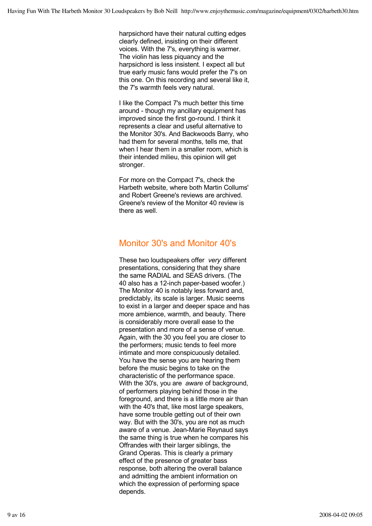harpsichord have their natural cutting edges clearly defined, insisting on their different voices. With the 7's, everything is warmer. The violin has less piquancy and the harpsichord is less insistent. I expect all but true early music fans would prefer the 7's on this one. On this recording and several like it, the 7's warmth feels very natural.

I like the Compact 7's much better this time around - though my ancillary equipment has improved since the first go-round. I think it represents a clear and useful alternative to the Monitor 30's. And Backwoods Barry, who had them for several months, tells me, that when I hear them in a smaller room, which is their intended milieu, this opinion will get stronger.

For more on the Compact 7's, check the Harbeth website, where both Martin Collums' and Robert Greene's reviews are archived. Greene's review of the Monitor 40 review is there as well

## Monitor 30's and Monitor 40's

These two loudspeakers offer *very* different presentations, considering that they share the same RADIAL and SEAS drivers. (The 40 also has a 12-inch paper-based woofer.) The Monitor 40 is notably less forward and, predictably, its scale is larger. Music seems to exist in a larger and deeper space and has more ambience, warmth, and beauty. There is considerably more overall ease to the presentation and more of a sense of venue. Again, with the 30 you feel you are closer to the performers; music tends to feel more intimate and more conspicuously detailed. You have the sense you are hearing them before the music begins to take on the characteristic of the performance space. With the 30's, you are *aware* of background, of performers playing behind those in the foreground, and there is a little more air than with the 40's that, like most large speakers, have some trouble getting out of their own way. But with the 30's, you are not as much aware of a venue. Jean-Marie Reynaud says the same thing is true when he compares his Offrandes with their larger siblings, the Grand Operas. This is clearly a primary effect of the presence of greater bass response, both altering the overall balance and admitting the ambient information on which the expression of performing space depends.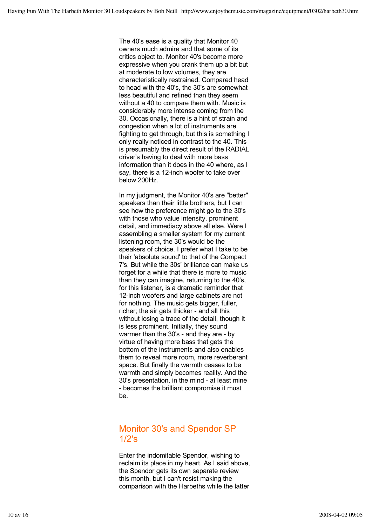The 40's ease is a quality that Monitor 40 owners much admire and that some of its critics object to. Monitor 40's become more expressive when you crank them up a bit but at moderate to low volumes, they are characteristically restrained. Compared head to head with the 40's, the 30's are somewhat less beautiful and refined than they seem without a 40 to compare them with. Music is considerably more intense coming from the 30. Occasionally, there is a hint of strain and congestion when a lot of instruments are fighting to get through, but this is something I only really noticed in contrast to the 40. This is presumably the direct result of the RADIAL driver's having to deal with more bass information than it does in the 40 where, as I say, there is a 12-inch woofer to take over below 200Hz.

In my judgment, the Monitor 40's are "better" speakers than their little brothers, but I can see how the preference might go to the 30's with those who value intensity, prominent detail, and immediacy above all else. Were I assembling a smaller system for my current listening room, the 30's would be the speakers of choice. I prefer what I take to be their 'absolute sound' to that of the Compact 7's. But while the 30s' brilliance can make us forget for a while that there is more to music than they can imagine, returning to the 40's, for this listener, is a dramatic reminder that 12-inch woofers and large cabinets are not for nothing. The music gets bigger, fuller, richer; the air gets thicker - and all this without losing a trace of the detail, though it is less prominent. Initially, they sound warmer than the 30's - and they are - by virtue of having more bass that gets the bottom of the instruments and also enables them to reveal more room, more reverberant space. But finally the warmth ceases to be warmth and simply becomes reality. And the 30's presentation, in the mind - at least mine - becomes the brilliant compromise it must be.

## Monitor 30's and Spendor SP 1/2's

Enter the indomitable Spendor, wishing to reclaim its place in my heart. As I said above, the Spendor gets its own separate review this month, but I can't resist making the comparison with the Harbeths while the latter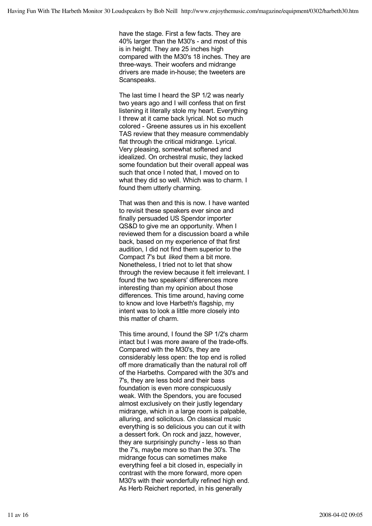have the stage. First a few facts. They are 40% larger than the M30's - and most of this is in height. They are 25 inches high compared with the M30's 18 inches. They are three-ways. Their woofers and midrange drivers are made in-house; the tweeters are Scanspeaks.

The last time I heard the SP 1/2 was nearly two years ago and I will confess that on first listening it literally stole my heart. Everything I threw at it came back lyrical. Not so much colored - Greene assures us in his excellent TAS review that they measure commendably flat through the critical midrange. Lyrical. Very pleasing, somewhat softened and idealized. On orchestral music, they lacked some foundation but their overall appeal was such that once I noted that, I moved on to what they did so well. Which was to charm. I found them utterly charming.

That was then and this is now. I have wanted to revisit these speakers ever since and finally persuaded US Spendor importer QS&D to give me an opportunity. When I reviewed them for a discussion board a while back, based on my experience of that first audition, I did not find them superior to the Compact 7's but *liked* them a bit more. Nonetheless, I tried not to let that show through the review because it felt irrelevant. I found the two speakers' differences more interesting than my opinion about those differences. This time around, having come to know and love Harbeth's flagship, my intent was to look a little more closely into this matter of charm.

This time around, I found the SP 1/2's charm intact but I was more aware of the trade-offs. Compared with the M30's, they are considerably less open: the top end is rolled off more dramatically than the natural roll off of the Harbeths. Compared with the 30's and 7's, they are less bold and their bass foundation is even more conspicuously weak. With the Spendors, you are focused almost exclusively on their justly legendary midrange, which in a large room is palpable, alluring, and solicitous. On classical music everything is so delicious you can cut it with a dessert fork. On rock and jazz, however, they are surprisingly punchy - less so than the 7's, maybe more so than the 30's. The midrange focus can sometimes make everything feel a bit closed in, especially in contrast with the more forward, more open M30's with their wonderfully refined high end. As Herb Reichert reported, in his generally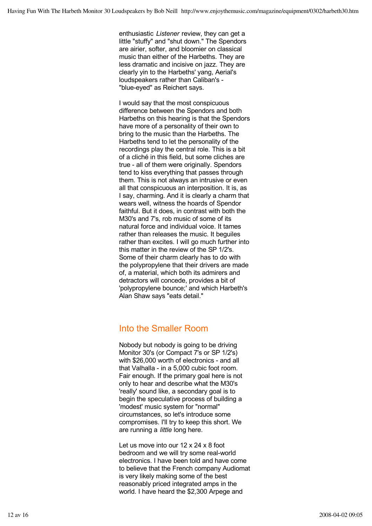enthusiastic *Listener* review, they can get a little "stuffy" and "shut down." The Spendors are airier, softer, and bloomier on classical music than either of the Harbeths. They are less dramatic and incisive on jazz. They are clearly yin to the Harbeths' yang, Aerial's loudspeakers rather than Caliban's - "blue-eyed" as Reichert says.

I would say that the most conspicuous difference between the Spendors and both Harbeths on this hearing is that the Spendors have more of a personality of their own to bring to the music than the Harbeths. The Harbeths tend to let the personality of the recordings play the central role. This is a bit of a cliché in this field, but some cliches are true - all of them were originally. Spendors tend to kiss everything that passes through them. This is not always an intrusive or even all that conspicuous an interposition. It is, as I say, charming. And it is clearly a charm that wears well, witness the hoards of Spendor faithful. But it does, in contrast with both the M30's and 7's, rob music of some of its natural force and individual voice. It tames rather than releases the music. It beguiles rather than excites. I will go much further into this matter in the review of the SP 1/2's. Some of their charm clearly has to do with the polypropylene that their drivers are made of, a material, which both its admirers and detractors will concede, provides a bit of 'polypropylene bounce;' and which Harbeth's Alan Shaw says "eats detail."

# Into the Smaller Room

Nobody but nobody is going to be driving Monitor 30's (or Compact 7's or SP 1/2's) with \$26,000 worth of electronics - and all that Valhalla - in a 5,000 cubic foot room. Fair enough. If the primary goal here is not only to hear and describe what the M30's 'really' sound like, a secondary goal is to begin the speculative process of building a 'modest' music system for "normal" circumstances, so let's introduce some compromises. I'll try to keep this short. We are running a *little* long here.

Let us move into our 12 x 24 x 8 foot bedroom and we will try some real-world electronics. I have been told and have come to believe that the French company Audiomat is very likely making some of the best reasonably priced integrated amps in the world. I have heard the \$2,300 Arpege and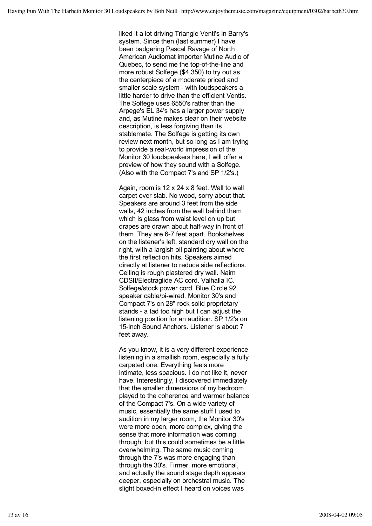liked it a lot driving Triangle Venti's in Barry's system. Since then (last summer) I have been badgering Pascal Ravage of North American Audiomat importer Mutine Audio of Quebec, to send me the top-of-the-line and more robust Solfege (\$4,350) to try out as the centerpiece of a moderate priced and smaller scale system - with loudspeakers a little harder to drive than the efficient Ventis. The Solfege uses 6550's rather than the Arpege's EL 34's has a larger power supply and, as Mutine makes clear on their website description, is less forgiving than its stablemate. The Solfege is getting its own review next month, but so long as I am trying to provide a real-world impression of the Monitor 30 loudspeakers here, I will offer a preview of how they sound with a Solfege. (Also with the Compact 7's and SP 1/2's.)

Again, room is 12 x 24 x 8 feet. Wall to wall carpet over slab. No wood, sorry about that. Speakers are around 3 feet from the side walls, 42 inches from the wall behind them which is glass from waist level on up but drapes are drawn about half-way in front of them. They are 6-7 feet apart. Bookshelves on the listener's left, standard dry wall on the right, with a largish oil painting about where the first reflection hits. Speakers aimed directly at listener to reduce side reflections. Ceiling is rough plastered dry wall. Naim CDSII/Electraglide AC cord. Valhalla IC. Solfege/stock power cord. Blue Circle 92 speaker cable/bi-wired. Monitor 30's and Compact 7's on 28" rock solid proprietary stands - a tad too high but I can adjust the listening position for an audition. SP 1/2's on 15-inch Sound Anchors. Listener is about 7 feet away.

As you know, it is a very different experience listening in a smallish room, especially a fully carpeted one. Everything feels more intimate, less spacious. I do not like it, never have. Interestingly, I discovered immediately that the smaller dimensions of my bedroom played to the coherence and warmer balance of the Compact 7's. On a wide variety of music, essentially the same stuff I used to audition in my larger room, the Monitor 30's were more open, more complex, giving the sense that more information was coming through; but this could sometimes be a little overwhelming. The same music coming through the 7's was more engaging than through the 30's. Firmer, more emotional, and actually the sound stage depth appears deeper, especially on orchestral music. The slight boxed-in effect I heard on voices was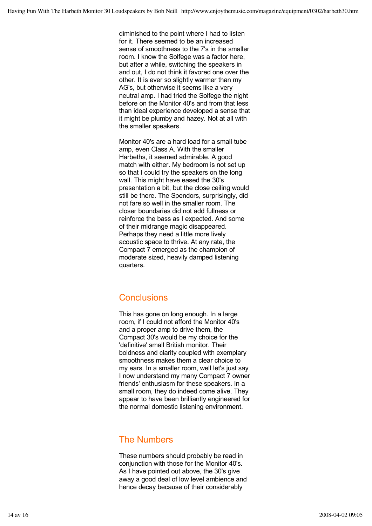diminished to the point where I had to listen for it. There seemed to be an increased sense of smoothness to the 7's in the smaller room. I know the Solfege was a factor here, but after a while, switching the speakers in and out, I do not think it favored one over the other. It is ever so slightly warmer than my AG's, but otherwise it seems like a very neutral amp. I had tried the Solfege the night before on the Monitor 40's and from that less than ideal experience developed a sense that it might be plumby and hazey. Not at all with the smaller speakers.

Monitor 40's are a hard load for a small tube amp, even Class A. With the smaller Harbeths, it seemed admirable. A good match with either. My bedroom is not set up so that I could try the speakers on the long wall. This might have eased the 30's presentation a bit, but the close ceiling would still be there. The Spendors, surprisingly, did not fare so well in the smaller room. The closer boundaries did not add fullness or reinforce the bass as I expected. And some of their midrange magic disappeared. Perhaps they need a little more lively acoustic space to thrive. At any rate, the Compact 7 emerged as the champion of moderate sized, heavily damped listening quarters.

### **Conclusions**

This has gone on long enough. In a large room, if I could not afford the Monitor 40's and a proper amp to drive them, the Compact 30's would be my choice for the 'definitive' small British monitor. Their boldness and clarity coupled with exemplary smoothness makes them a clear choice to my ears. In a smaller room, well let's just say I now understand my many Compact 7 owner friends' enthusiasm for these speakers. In a small room, they do indeed come alive. They appear to have been brilliantly engineered for the normal domestic listening environment.

#### The Numbers

These numbers should probably be read in conjunction with those for the Monitor 40's. As I have pointed out above, the 30's give away a good deal of low level ambience and hence decay because of their considerably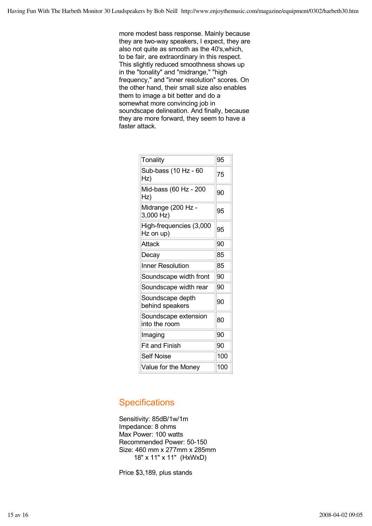more modest bass response. Mainly because they are two-way speakers, I expect, they are also not quite as smooth as the 40's,which, to be fair, are extraordinary in this respect. This slightly reduced smoothness shows up in the "tonality" and "midrange," "high frequency," and "inner resolution" scores. On the other hand, their small size also enables them to image a bit better and do a somewhat more convincing job in soundscape delineation. And finally, because they are more forward, they seem to have a faster attack.

| Tonality                              | 95  |
|---------------------------------------|-----|
| Sub-bass (10 Hz - 60<br>Hz)           | 75  |
| Mid-bass (60 Hz - 200<br>Hz)          | 90  |
| Midrange (200 Hz -<br>3,000 Hz)       | 95  |
| High-frequencies (3,000<br>Hz on up)  | 95  |
| Attack                                | 90  |
| Decay                                 | 85  |
| <b>Inner Resolution</b>               | 85  |
| Soundscape width front                | 90  |
| Soundscape width rear                 | 90  |
| Soundscape depth<br>behind speakers   | 90  |
| Soundscape extension<br>into the room | 80  |
| Imaging                               | 90  |
| <b>Fit and Finish</b>                 | 90  |
| <b>Self Noise</b>                     | 100 |
| Value for the Money                   | 100 |

### **Specifications**

Sensitivity: 85dB/1w/1m Impedance: 8 ohms Max Power: 100 watts Recommended Power: 50-150 Size: 460 mm x 277mm x 285mm 18" x 11" x 11" (HxWxD)

Price \$3,189, plus stands